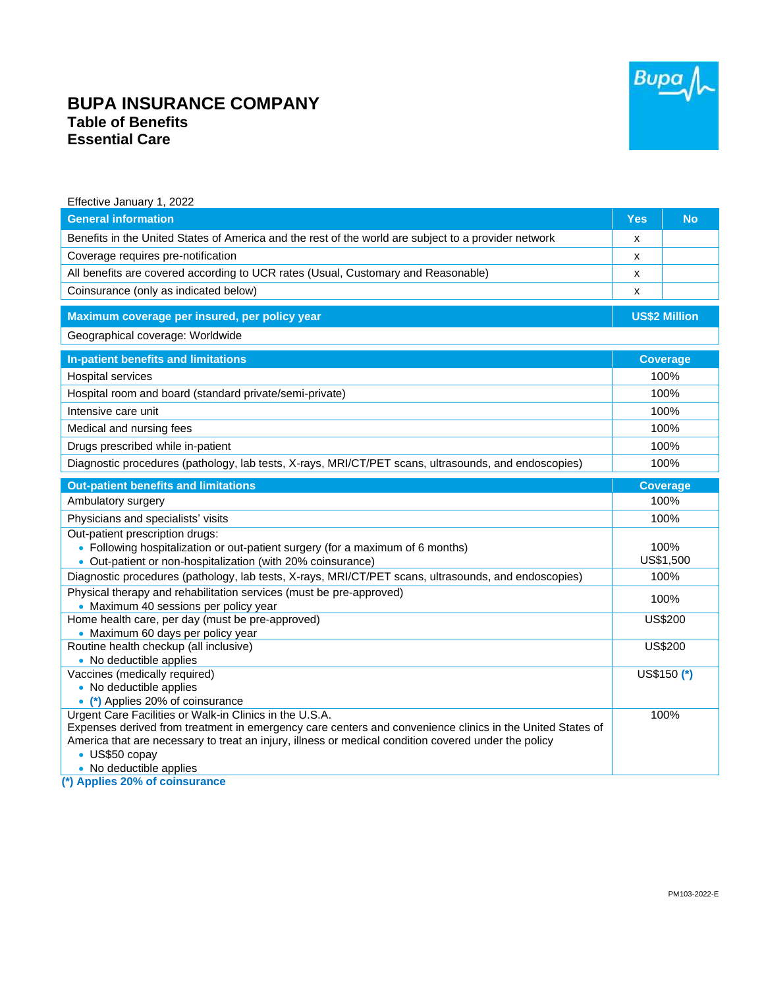## Bupa

## **BUPA INSURANCE COMPANY Table of Benefits Essential Care**

| Effective January 1, 2022                                                                                                                                            |                      |                 |  |
|----------------------------------------------------------------------------------------------------------------------------------------------------------------------|----------------------|-----------------|--|
| <b>General information</b>                                                                                                                                           | <b>Yes</b>           | <b>No</b>       |  |
| Benefits in the United States of America and the rest of the world are subject to a provider network                                                                 | х                    |                 |  |
| Coverage requires pre-notification                                                                                                                                   | X                    |                 |  |
| All benefits are covered according to UCR rates (Usual, Customary and Reasonable)                                                                                    | X                    |                 |  |
| Coinsurance (only as indicated below)                                                                                                                                | X                    |                 |  |
| Maximum coverage per insured, per policy year                                                                                                                        | <b>US\$2 Million</b> |                 |  |
| Geographical coverage: Worldwide                                                                                                                                     |                      |                 |  |
| In-patient benefits and limitations                                                                                                                                  | <b>Coverage</b>      |                 |  |
| <b>Hospital services</b>                                                                                                                                             | 100%                 |                 |  |
| Hospital room and board (standard private/semi-private)                                                                                                              | 100%                 |                 |  |
| Intensive care unit                                                                                                                                                  | 100%                 |                 |  |
| Medical and nursing fees                                                                                                                                             | 100%                 |                 |  |
| Drugs prescribed while in-patient                                                                                                                                    | 100%                 |                 |  |
| Diagnostic procedures (pathology, lab tests, X-rays, MRI/CT/PET scans, ultrasounds, and endoscopies)                                                                 | 100%                 |                 |  |
| <b>Out-patient benefits and limitations</b>                                                                                                                          |                      | <b>Coverage</b> |  |
| Ambulatory surgery                                                                                                                                                   | 100%                 |                 |  |
| Physicians and specialists' visits                                                                                                                                   | 100%                 |                 |  |
| Out-patient prescription drugs:                                                                                                                                      |                      |                 |  |
| • Following hospitalization or out-patient surgery (for a maximum of 6 months)                                                                                       | 100%                 |                 |  |
| • Out-patient or non-hospitalization (with 20% coinsurance)                                                                                                          | US\$1,500            |                 |  |
| Diagnostic procedures (pathology, lab tests, X-rays, MRI/CT/PET scans, ultrasounds, and endoscopies)                                                                 |                      | 100%            |  |
| Physical therapy and rehabilitation services (must be pre-approved)<br>• Maximum 40 sessions per policy year                                                         |                      | 100%            |  |
| Home health care, per day (must be pre-approved)                                                                                                                     |                      | <b>US\$200</b>  |  |
| • Maximum 60 days per policy year                                                                                                                                    |                      |                 |  |
| Routine health checkup (all inclusive)                                                                                                                               |                      | <b>US\$200</b>  |  |
| • No deductible applies                                                                                                                                              |                      |                 |  |
| Vaccines (medically required)                                                                                                                                        |                      | US\$150 (*)     |  |
| • No deductible applies                                                                                                                                              |                      |                 |  |
| • (*) Applies 20% of coinsurance                                                                                                                                     |                      |                 |  |
| Urgent Care Facilities or Walk-in Clinics in the U.S.A.<br>Expenses derived from treatment in emergency care centers and convenience clinics in the United States of |                      | 100%            |  |
| America that are necessary to treat an injury, illness or medical condition covered under the policy                                                                 |                      |                 |  |
| • US\$50 copay                                                                                                                                                       |                      |                 |  |
| • No deductible applies                                                                                                                                              |                      |                 |  |

**(\*) Applies 20% of coinsurance**